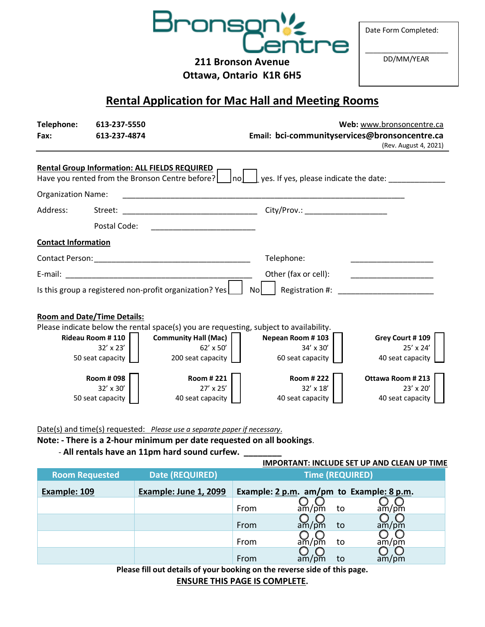

Date Form Completed:

**211 Bronson Avenue**

**Ottawa, Ontario K1R 6H5**

\_\_\_\_\_\_\_\_\_\_\_\_\_\_\_\_\_\_\_\_\_ DD/MM/YEAR

## **Rental Application for Mac Hall and Meeting Rooms**

| Telephone:                 | 613-237-5550                                         |                                                                                        |                                                                 | Web: www.bronsoncentre.ca               |  |  |  |
|----------------------------|------------------------------------------------------|----------------------------------------------------------------------------------------|-----------------------------------------------------------------|-----------------------------------------|--|--|--|
| Fax:                       | 613-237-4874                                         |                                                                                        | Email: bci-communityservices@bronsoncentre.ca                   |                                         |  |  |  |
|                            |                                                      |                                                                                        |                                                                 | (Rev. August 4, 2021)                   |  |  |  |
|                            | <b>Rental Group Information: ALL FIELDS REQUIRED</b> |                                                                                        |                                                                 |                                         |  |  |  |
|                            |                                                      | Have you rented from the Bronson Centre before?<br> no                                 | $\perp$ yes. If yes, please indicate the date: $\perp$          |                                         |  |  |  |
| <b>Organization Name:</b>  |                                                      |                                                                                        |                                                                 |                                         |  |  |  |
|                            |                                                      |                                                                                        |                                                                 |                                         |  |  |  |
| Address:                   | Street:                                              |                                                                                        | City/Prov.: _______________________                             |                                         |  |  |  |
|                            | Postal Code:                                         |                                                                                        |                                                                 |                                         |  |  |  |
| <b>Contact Information</b> |                                                      |                                                                                        |                                                                 |                                         |  |  |  |
|                            |                                                      |                                                                                        | Telephone:                                                      |                                         |  |  |  |
|                            |                                                      |                                                                                        | Other (fax or cell):<br><u> 1990 - Johann Barbara, martin a</u> |                                         |  |  |  |
|                            |                                                      | Is this group a registered non-profit organization? Yes                                | Registration #:<br>Nol                                          | <u> 1990 - Johann Barbara, martin a</u> |  |  |  |
|                            | <b>Room and Date/Time Details:</b>                   |                                                                                        |                                                                 |                                         |  |  |  |
|                            |                                                      | Please indicate below the rental space(s) you are requesting, subject to availability. |                                                                 |                                         |  |  |  |
|                            | <b>Rideau Room #110</b>                              | Community Hall (Mac)                                                                   | Nepean Room #103                                                | Grey Court #109                         |  |  |  |
|                            | $32' \times 23'$<br>50 seat capacity                 | 62' x 50'<br>200 seat capacity                                                         | 34' x 30'<br>60 seat capacity                                   | 25' x 24'<br>40 seat capacity           |  |  |  |
|                            |                                                      |                                                                                        |                                                                 |                                         |  |  |  |
|                            | <b>Room # 098</b>                                    | <b>Room #221</b>                                                                       | Room # 222                                                      | Ottawa Room #213                        |  |  |  |
|                            | 32' x 30'                                            | 27' x 25'                                                                              | 32' x 18'                                                       | 23' x 20'                               |  |  |  |
|                            | 50 seat capacity                                     | 40 seat capacity                                                                       | 40 seat capacity                                                | 40 seat capacity                        |  |  |  |

Date(s) and time(s) requested: *Please use a separate paper if necessary*.

**Note: - There is a 2-hour minimum per date requested on all bookings**.

- **All rentals have an 11pm hard sound curfew. \_\_\_\_\_\_\_\_**

#### **IMPORTANT: INCLUDE SET UP AND CLEAN UP TIME**

| Date (REQUIRED)<br><b>Room Requested</b> |                       | <b>Time (REQUIRED)</b>                   |                                       |       |
|------------------------------------------|-----------------------|------------------------------------------|---------------------------------------|-------|
| Example: 109                             | Example: June 1, 2099 | Example: 2 p.m. am/pm to Example: 8 p.m. |                                       |       |
|                                          |                       | From                                     | am/pm<br>to                           | am/m  |
|                                          |                       | From                                     | $a\bar{m}/p\bar{m}$<br>to             | am/pm |
|                                          |                       | From                                     | $a\widetilde{m}/p\widetilde{m}$<br>to | am/pm |
|                                          |                       | From                                     | am<br>to                              | am/pm |

**Please fill out details of your booking on the reverse side of this page.**

**ENSURE THIS PAGE IS COMPLETE.**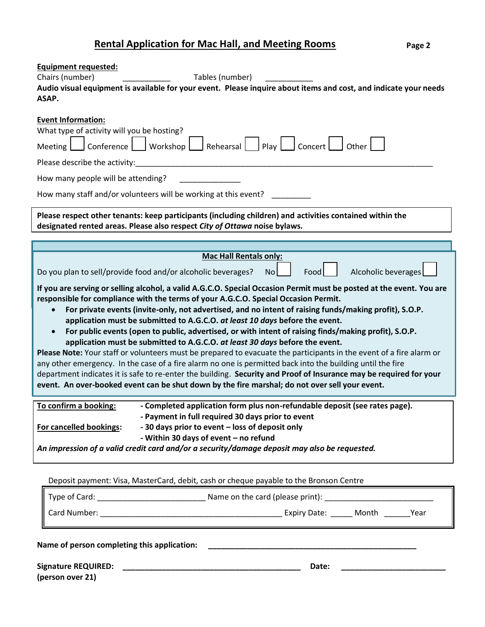# **Rental Application for Mac Hall, and Meeting Rooms**

| <b>Equipment requested:</b>                                                                                                                                                                                                                                                                                                                                                                                                                                                                                                                                                                                                                                                                                                                                                                                                                                                                                                                                                                                                                                                                                                                                                                                                          |  |  |  |  |  |  |  |
|--------------------------------------------------------------------------------------------------------------------------------------------------------------------------------------------------------------------------------------------------------------------------------------------------------------------------------------------------------------------------------------------------------------------------------------------------------------------------------------------------------------------------------------------------------------------------------------------------------------------------------------------------------------------------------------------------------------------------------------------------------------------------------------------------------------------------------------------------------------------------------------------------------------------------------------------------------------------------------------------------------------------------------------------------------------------------------------------------------------------------------------------------------------------------------------------------------------------------------------|--|--|--|--|--|--|--|
| Chairs (number)<br>Tables (number)                                                                                                                                                                                                                                                                                                                                                                                                                                                                                                                                                                                                                                                                                                                                                                                                                                                                                                                                                                                                                                                                                                                                                                                                   |  |  |  |  |  |  |  |
| Audio visual equipment is available for your event. Please inquire about items and cost, and indicate your needs<br>ASAP.                                                                                                                                                                                                                                                                                                                                                                                                                                                                                                                                                                                                                                                                                                                                                                                                                                                                                                                                                                                                                                                                                                            |  |  |  |  |  |  |  |
|                                                                                                                                                                                                                                                                                                                                                                                                                                                                                                                                                                                                                                                                                                                                                                                                                                                                                                                                                                                                                                                                                                                                                                                                                                      |  |  |  |  |  |  |  |
| <b>Event Information:</b>                                                                                                                                                                                                                                                                                                                                                                                                                                                                                                                                                                                                                                                                                                                                                                                                                                                                                                                                                                                                                                                                                                                                                                                                            |  |  |  |  |  |  |  |
| What type of activity will you be hosting?                                                                                                                                                                                                                                                                                                                                                                                                                                                                                                                                                                                                                                                                                                                                                                                                                                                                                                                                                                                                                                                                                                                                                                                           |  |  |  |  |  |  |  |
| $\Box$ Conference $\Box$ Workshop $\Box$ Rehearsal $\Box$ Play $\Box$ Concert $\Box$ Other $\Box$<br><b>Meeting</b>                                                                                                                                                                                                                                                                                                                                                                                                                                                                                                                                                                                                                                                                                                                                                                                                                                                                                                                                                                                                                                                                                                                  |  |  |  |  |  |  |  |
| Please describe the activity:                                                                                                                                                                                                                                                                                                                                                                                                                                                                                                                                                                                                                                                                                                                                                                                                                                                                                                                                                                                                                                                                                                                                                                                                        |  |  |  |  |  |  |  |
| How many people will be attending?                                                                                                                                                                                                                                                                                                                                                                                                                                                                                                                                                                                                                                                                                                                                                                                                                                                                                                                                                                                                                                                                                                                                                                                                   |  |  |  |  |  |  |  |
| How many staff and/or volunteers will be working at this event?                                                                                                                                                                                                                                                                                                                                                                                                                                                                                                                                                                                                                                                                                                                                                                                                                                                                                                                                                                                                                                                                                                                                                                      |  |  |  |  |  |  |  |
| Please respect other tenants: keep participants (including children) and activities contained within the<br>designated rented areas. Please also respect City of Ottawa noise bylaws.                                                                                                                                                                                                                                                                                                                                                                                                                                                                                                                                                                                                                                                                                                                                                                                                                                                                                                                                                                                                                                                |  |  |  |  |  |  |  |
|                                                                                                                                                                                                                                                                                                                                                                                                                                                                                                                                                                                                                                                                                                                                                                                                                                                                                                                                                                                                                                                                                                                                                                                                                                      |  |  |  |  |  |  |  |
|                                                                                                                                                                                                                                                                                                                                                                                                                                                                                                                                                                                                                                                                                                                                                                                                                                                                                                                                                                                                                                                                                                                                                                                                                                      |  |  |  |  |  |  |  |
| <b>Mac Hall Rentals only:</b>                                                                                                                                                                                                                                                                                                                                                                                                                                                                                                                                                                                                                                                                                                                                                                                                                                                                                                                                                                                                                                                                                                                                                                                                        |  |  |  |  |  |  |  |
| Alcoholic beverages<br>Food<br>Do you plan to sell/provide food and/or alcoholic beverages?<br>No                                                                                                                                                                                                                                                                                                                                                                                                                                                                                                                                                                                                                                                                                                                                                                                                                                                                                                                                                                                                                                                                                                                                    |  |  |  |  |  |  |  |
| If you are serving or selling alcohol, a valid A.G.C.O. Special Occasion Permit must be posted at the event. You are<br>responsible for compliance with the terms of your A.G.C.O. Special Occasion Permit.<br>For private events (invite-only, not advertised, and no intent of raising funds/making profit), S.O.P.<br>$\bullet$<br>application must be submitted to A.G.C.O. at least 10 days before the event.<br>For public events (open to public, advertised, or with intent of raising finds/making profit), S.O.P.<br>application must be submitted to A.G.C.O. at least 30 days before the event.<br>Please Note: Your staff or volunteers must be prepared to evacuate the participants in the event of a fire alarm or<br>any other emergency. In the case of a fire alarm no one is permitted back into the building until the fire<br>department indicates it is safe to re-enter the building. Security and Proof of Insurance may be required for your<br>event. An over-booked event can be shut down by the fire marshal; do not over sell your event.<br>- Completed application form plus non-refundable deposit (see rates page).<br>To confirm a booking:<br>- Payment in full required 30 days prior to event |  |  |  |  |  |  |  |
| - 30 days prior to event - loss of deposit only<br><b>For cancelled bookings:</b><br>- Within 30 days of event - no refund                                                                                                                                                                                                                                                                                                                                                                                                                                                                                                                                                                                                                                                                                                                                                                                                                                                                                                                                                                                                                                                                                                           |  |  |  |  |  |  |  |
| An impression of a valid credit card and/or a security/damage deposit may also be requested.                                                                                                                                                                                                                                                                                                                                                                                                                                                                                                                                                                                                                                                                                                                                                                                                                                                                                                                                                                                                                                                                                                                                         |  |  |  |  |  |  |  |
| Deposit payment: Visa, MasterCard, debit, cash or cheque payable to the Bronson Centre                                                                                                                                                                                                                                                                                                                                                                                                                                                                                                                                                                                                                                                                                                                                                                                                                                                                                                                                                                                                                                                                                                                                               |  |  |  |  |  |  |  |
|                                                                                                                                                                                                                                                                                                                                                                                                                                                                                                                                                                                                                                                                                                                                                                                                                                                                                                                                                                                                                                                                                                                                                                                                                                      |  |  |  |  |  |  |  |
|                                                                                                                                                                                                                                                                                                                                                                                                                                                                                                                                                                                                                                                                                                                                                                                                                                                                                                                                                                                                                                                                                                                                                                                                                                      |  |  |  |  |  |  |  |
|                                                                                                                                                                                                                                                                                                                                                                                                                                                                                                                                                                                                                                                                                                                                                                                                                                                                                                                                                                                                                                                                                                                                                                                                                                      |  |  |  |  |  |  |  |
| Name of person completing this application:                                                                                                                                                                                                                                                                                                                                                                                                                                                                                                                                                                                                                                                                                                                                                                                                                                                                                                                                                                                                                                                                                                                                                                                          |  |  |  |  |  |  |  |
| Date:<br>(person over 21)                                                                                                                                                                                                                                                                                                                                                                                                                                                                                                                                                                                                                                                                                                                                                                                                                                                                                                                                                                                                                                                                                                                                                                                                            |  |  |  |  |  |  |  |